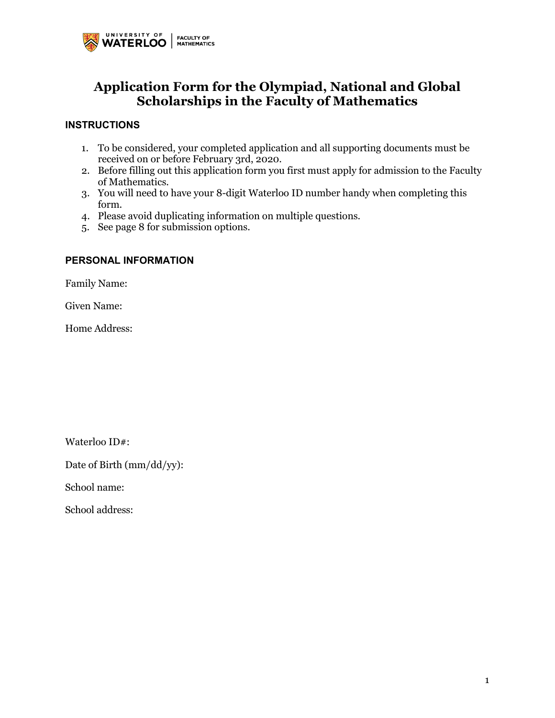

# **Application Form for the Olympiad, National and Global Scholarships in the Faculty of Mathematics**

## **INSTRUCTIONS**

- received on or before February 3rd, 2020. 1. To be considered, your completed application and all supporting documents must be
- 2. Before filling out this application form you first must apply for admission to the Faculty of Mathematics.
- 3. You will need to have your 8-digit Waterloo ID number handy when completing this form.
- 4. Please avoid duplicating information on multiple questions.
- 5. See page 8 for submission options.

## **PERSONAL INFORMATION**

Family Name:

Given Name:

Home Address:

Waterloo ID#:

Date of Birth (mm/dd/yy):

School name:

School address: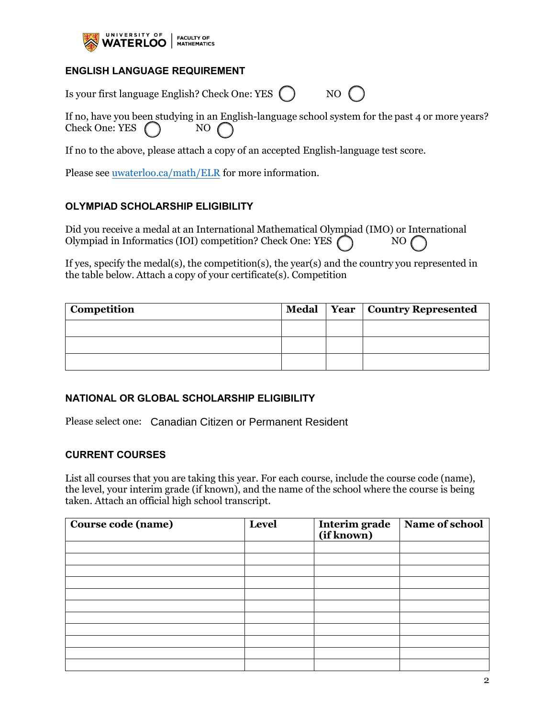

## **ENGLISH LANGUAGE REQUIREMENT**

Is your first language English? Check One: YES () NO (

 If no, have you been studying in an English-language school system for the past 4 or more years? Check One: YES  $\bigcap$  NO

If no to the above, please attach a copy of an accepted English-language test score.

Please see <u>uwaterloo.ca/math/ELR</u> for more information.

## **OLYMPIAD SCHOLARSHIP ELIGIBILITY**

Did you receive a medal at an International Mathematical Olympiad (IMO) or International Olympiad in Informatics (IOI) competition? Check One: YES  $\bigcap$  NO

 the table below. Attach a copy of your certificate(s). Competition If yes, specify the medal(s), the competition(s), the year(s) and the country you represented in

| <sup>1</sup> Competition |  | Medal   Year   Country Represented |
|--------------------------|--|------------------------------------|
|                          |  |                                    |
|                          |  |                                    |
|                          |  |                                    |

## **NATIONAL OR GLOBAL SCHOLARSHIP ELIGIBILITY**

Please select one: Canadian Citizen or Permanent Resident

## **CURRENT COURSES**

 taken. Attach an official high school transcript. List all courses that you are taking this year. For each course, include the course code (name), the level, your interim grade (if known), and the name of the school where the course is being

| Course code (name) | Level | Interim grade<br>(if known) | Name of school |  |
|--------------------|-------|-----------------------------|----------------|--|
|                    |       |                             |                |  |
|                    |       |                             |                |  |
|                    |       |                             |                |  |
|                    |       |                             |                |  |
|                    |       |                             |                |  |
|                    |       |                             |                |  |
|                    |       |                             |                |  |
|                    |       |                             |                |  |
|                    |       |                             |                |  |
|                    |       |                             |                |  |
|                    |       |                             |                |  |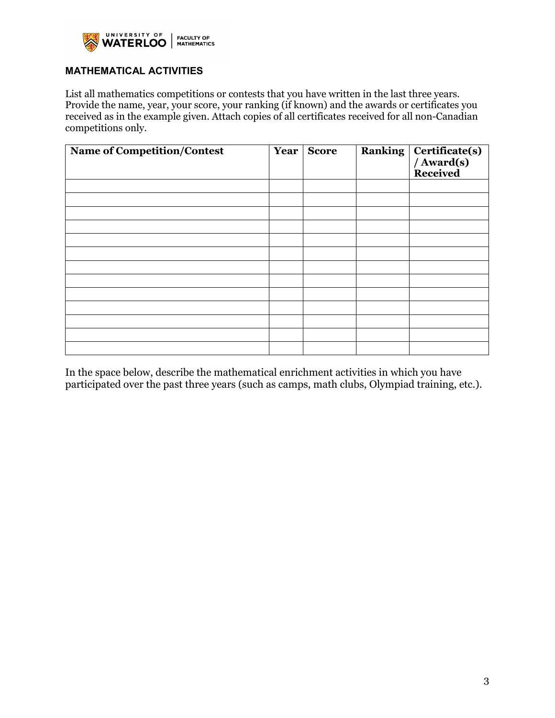

# **MATHEMATICAL ACTIVITIES**

 Provide the name, year, your score, your ranking (if known) and the awards or certificates you List all mathematics competitions or contests that you have written in the last three years. received as in the example given. Attach copies of all certificates received for all non-Canadian competitions only.

| Name of Competition/Contest | Year | <b>Score</b> | <b>Ranking</b> | Certificate(s)<br>/ Award(s)<br>Received |
|-----------------------------|------|--------------|----------------|------------------------------------------|
|                             |      |              |                |                                          |
|                             |      |              |                |                                          |
|                             |      |              |                |                                          |
|                             |      |              |                |                                          |
|                             |      |              |                |                                          |
|                             |      |              |                |                                          |
|                             |      |              |                |                                          |
|                             |      |              |                |                                          |
|                             |      |              |                |                                          |
|                             |      |              |                |                                          |
|                             |      |              |                |                                          |
|                             |      |              |                |                                          |
|                             |      |              |                |                                          |

 In the space below, describe the mathematical enrichment activities in which you have participated over the past three years (such as camps, math clubs, Olympiad training, etc.).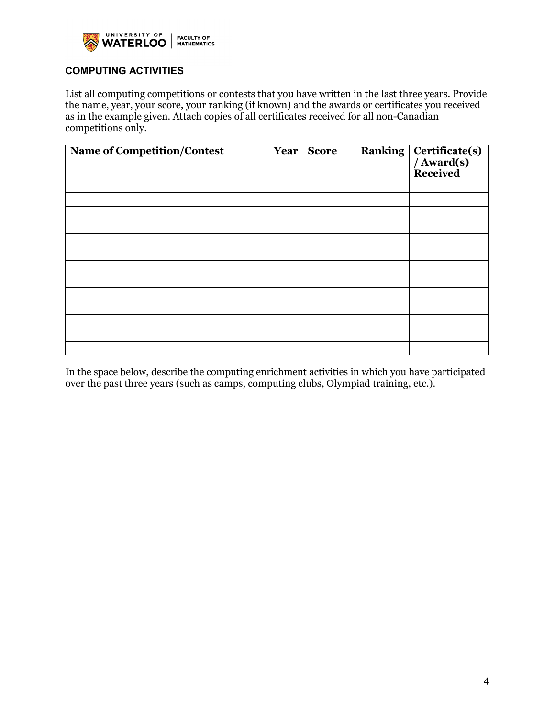

# **COMPUTING ACTIVITIES**

 the name, year, your score, your ranking (if known) and the awards or certificates you received List all computing competitions or contests that you have written in the last three years. Provide as in the example given. Attach copies of all certificates received for all non-Canadian competitions only.

| <b>Name of Competition/Contest</b> | Year | <b>Score</b> | <b>Ranking</b> | Certificate(s)<br>/ Award(s)<br>Received |
|------------------------------------|------|--------------|----------------|------------------------------------------|
|                                    |      |              |                |                                          |
|                                    |      |              |                |                                          |
|                                    |      |              |                |                                          |
|                                    |      |              |                |                                          |
|                                    |      |              |                |                                          |
|                                    |      |              |                |                                          |
|                                    |      |              |                |                                          |
|                                    |      |              |                |                                          |
|                                    |      |              |                |                                          |
|                                    |      |              |                |                                          |
|                                    |      |              |                |                                          |
|                                    |      |              |                |                                          |
|                                    |      |              |                |                                          |

In the space below, describe the computing enrichment activities in which you have participated over the past three years (such as camps, computing clubs, Olympiad training, etc.).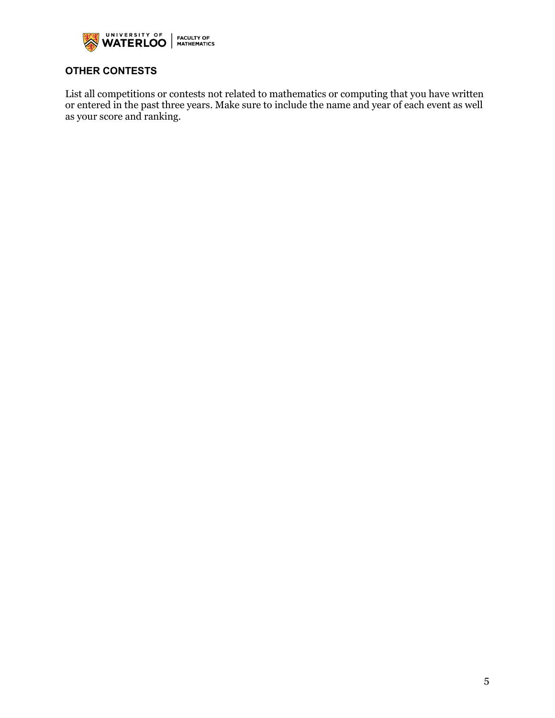

# **OTHER CONTESTS**

List all competitions or contests not related to mathematics or computing that you have written or entered in the past three years. Make sure to include the name and year of each event as well as your score and ranking.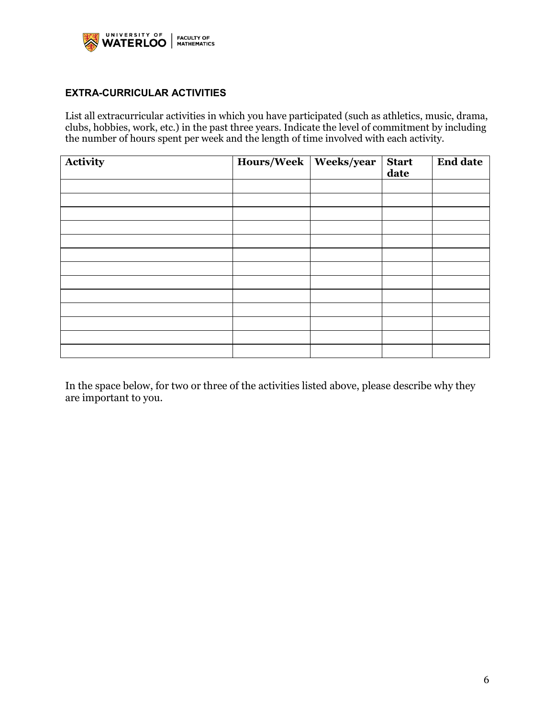

## **EXTRA-CURRICULAR ACTIVITIES**

List all extracurricular activities in which you have participated (such as athletics, music, drama, clubs, hobbies, work, etc.) in the past three years. Indicate the level of commitment by including the number of hours spent per week and the length of time involved with each activity.

| Activity | Hours/Week Weeks/year | <b>Start</b><br>date | <b>End date</b> |
|----------|-----------------------|----------------------|-----------------|
|          |                       |                      |                 |
|          |                       |                      |                 |
|          |                       |                      |                 |
|          |                       |                      |                 |
|          |                       |                      |                 |
|          |                       |                      |                 |
|          |                       |                      |                 |
|          |                       |                      |                 |
|          |                       |                      |                 |
|          |                       |                      |                 |
|          |                       |                      |                 |
|          |                       |                      |                 |
|          |                       |                      |                 |

 In the space below, for two or three of the activities listed above, please describe why they are important to you.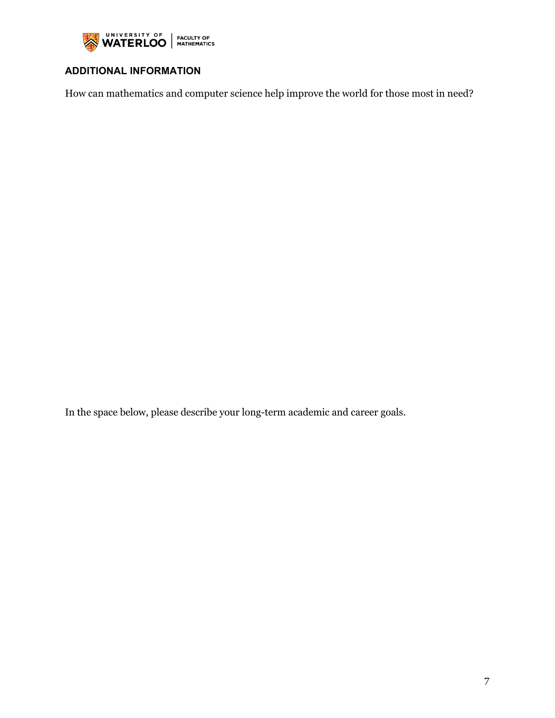

# **ADDITIONAL INFORMATION**

How can mathematics and computer science help improve the world for those most in need?

In the space below, please describe your long-term academic and career goals.